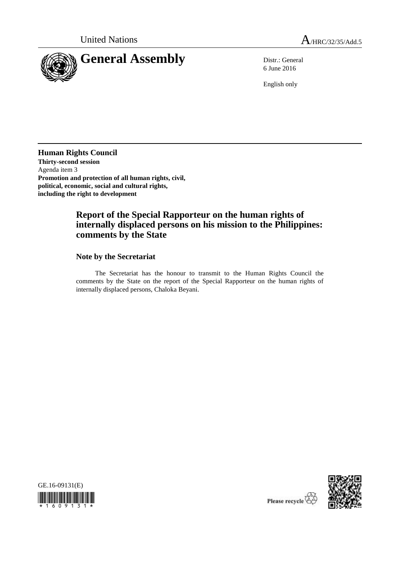

6 June 2016

English only

**Human Rights Council Thirty-second session** Agenda item 3 **Promotion and protection of all human rights, civil, political, economic, social and cultural rights, including the right to development** 

# **Report of the Special Rapporteur on the human rights of internally displaced persons on his mission to the Philippines: comments by the State**

## **Note by the Secretariat**

The Secretariat has the honour to transmit to the Human Rights Council the comments by the State on the report of the Special Rapporteur on the human rights of internally displaced persons, Chaloka Beyani.





Please recycle  $\overline{\mathbb{Q}}$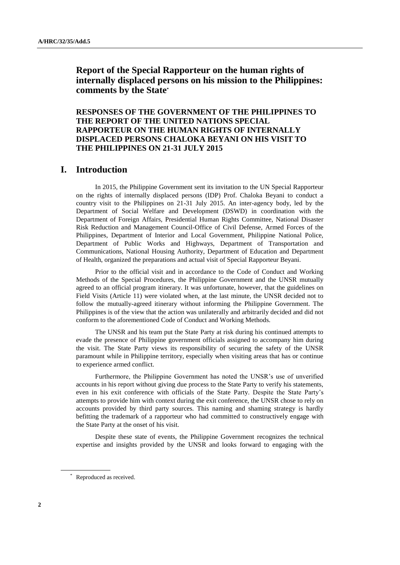# **Report of the Special Rapporteur on the human rights of internally displaced persons on his mission to the Philippines: comments by the State\***

**RESPONSES OF THE GOVERNMENT OF THE PHILIPPINES TO THE REPORT OF THE UNITED NATIONS SPECIAL RAPPORTEUR ON THE HUMAN RIGHTS OF INTERNALLY DISPLACED PERSONS CHALOKA BEYANI ON HIS VISIT TO THE PHILIPPINES ON 21-31 JULY 2015**

# **I. Introduction**

In 2015, the Philippine Government sent its invitation to the UN Special Rapporteur on the rights of internally displaced persons (IDP) Prof. Chaloka Beyani to conduct a country visit to the Philippines on 21-31 July 2015. An inter-agency body, led by the Department of Social Welfare and Development (DSWD) in coordination with the Department of Foreign Affairs, Presidential Human Rights Committee, National Disaster Risk Reduction and Management Council-Office of Civil Defense, Armed Forces of the Philippines, Department of Interior and Local Government, Philippine National Police, Department of Public Works and Highways, Department of Transportation and Communications, National Housing Authority, Department of Education and Department of Health, organized the preparations and actual visit of Special Rapporteur Beyani.

Prior to the official visit and in accordance to the Code of Conduct and Working Methods of the Special Procedures, the Philippine Government and the UNSR mutually agreed to an official program itinerary. It was unfortunate, however, that the guidelines on Field Visits (Article 11) were violated when, at the last minute, the UNSR decided not to follow the mutually-agreed itinerary without informing the Philippine Government. The Philippines is of the view that the action was unilaterally and arbitrarily decided and did not conform to the aforementioned Code of Conduct and Working Methods.

The UNSR and his team put the State Party at risk during his continued attempts to evade the presence of Philippine government officials assigned to accompany him during the visit. The State Party views its responsibility of securing the safety of the UNSR paramount while in Philippine territory, especially when visiting areas that has or continue to experience armed conflict.

Furthermore, the Philippine Government has noted the UNSR's use of unverified accounts in his report without giving due process to the State Party to verify his statements, even in his exit conference with officials of the State Party. Despite the State Party's attempts to provide him with context during the exit conference, the UNSR chose to rely on accounts provided by third party sources. This naming and shaming strategy is hardly befitting the trademark of a rapporteur who had committed to constructively engage with the State Party at the onset of his visit.

Despite these state of events, the Philippine Government recognizes the technical expertise and insights provided by the UNSR and looks forward to engaging with the

<sup>\*</sup> Reproduced as received.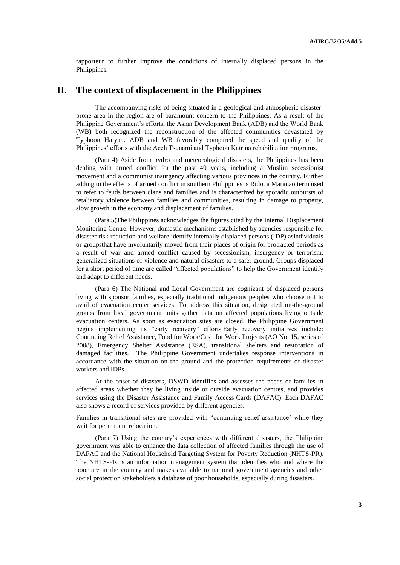rapporteur to further improve the conditions of internally displaced persons in the Philippines.

# **II. The context of displacement in the Philippines**

The accompanying risks of being situated in a geological and atmospheric disasterprone area in the region are of paramount concern to the Philippines. As a result of the Philippine Government's efforts, the Asian Development Bank (ADB) and the World Bank (WB) both recognized the reconstruction of the affected communities devastated by Typhoon Haiyan. ADB and WB favorably compared the speed and quality of the Philippines' efforts with the Aceh Tsunami and Typhoon Katrina rehabilitation programs.

(Para 4) Aside from hydro and meteorological disasters, the Philippines has been dealing with armed conflict for the past 40 years, including a Muslim secessionist movement and a communist insurgency affecting various provinces in the country. Further adding to the effects of armed conflict in southern Philippines is Rido, a Maranao term used to refer to feuds between clans and families and is characterized by sporadic outbursts of retaliatory violence between families and communities, resulting in damage to property, slow growth in the economy and displacement of families.

(Para 5)The Philippines acknowledges the figures cited by the Internal Displacement Monitoring Centre. However, domestic mechanisms established by agencies responsible for disaster risk reduction and welfare identify internally displaced persons (IDP) asindividuals or groupsthat have involuntarily moved from their places of origin for protracted periods as a result of war and armed conflict caused by secessionism, insurgency or terrorism, generalized situations of violence and natural disasters to a safer ground. Groups displaced for a short period of time are called "affected populations" to help the Government identify and adapt to different needs.

(Para 6) The National and Local Government are cognizant of displaced persons living with sponsor families, especially traditional indigenous peoples who choose not to avail of evacuation center services. To address this situation, designated on-the-ground groups from local government units gather data on affected populations living outside evacuation centers. As soon as evacuation sites are closed, the Philippine Government begins implementing its "early recovery" efforts.Early recovery initiatives include: Continuing Relief Assistance, Food for Work/Cash for Work Projects (AO No. 15, series of 2008), Emergency Shelter Assistance (ESA), transitional shelters and restoration of damaged facilities. The Philippine Government undertakes response interventions in accordance with the situation on the ground and the protection requirements of disaster workers and IDPs.

At the onset of disasters, DSWD identifies and assesses the needs of families in affected areas whether they be living inside or outside evacuation centres, and provides services using the Disaster Assistance and Family Access Cards (DAFAC). Each DAFAC also shows a record of services provided by different agencies.

Families in transitional sites are provided with "continuing relief assistance' while they wait for permanent relocation.

(Para 7) Using the country's experiences with different disasters, the Philippine government was able to enhance the data collection of affected families through the use of DAFAC and the National Household Targeting System for Poverty Reduction (NHTS-PR). The NHTS-PR is an information management system that identifies who and where the poor are in the country and makes available to national government agencies and other social protection stakeholders a database of poor households, especially during disasters.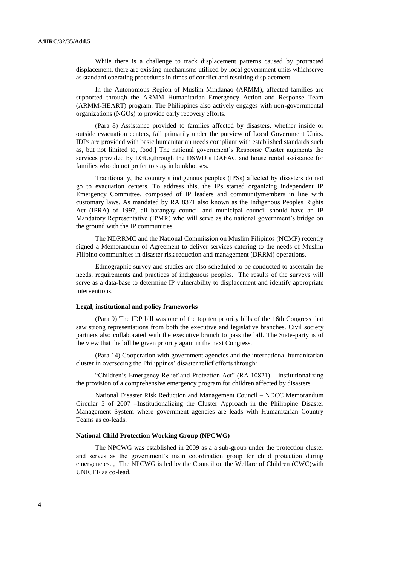While there is a challenge to track displacement patterns caused by protracted displacement, there are existing mechanisms utilized by local government units whichserve as standard operating procedures in times of conflict and resulting displacement.

In the Autonomous Region of Muslim Mindanao (ARMM), affected families are supported through the ARMM Humanitarian Emergency Action and Response Team (ARMM-HEART) program. The Philippines also actively engages with non-governmental organizations (NGOs) to provide early recovery efforts.

(Para 8) Assistance provided to families affected by disasters, whether inside or outside evacuation centers, fall primarily under the purview of Local Government Units. IDPs are provided with basic humanitarian needs compliant with established standards such as, but not limited to, food.] The national government's Response Cluster augments the services provided by LGUs,through the DSWD's DAFAC and house rental assistance for families who do not prefer to stay in bunkhouses.

Traditionally, the country's indigenous peoples (IPSs) affected by disasters do not go to evacuation centers. To address this, the IPs started organizing independent IP Emergency Committee, composed of IP leaders and communitymembers in line with customary laws. As mandated by RA 8371 also known as the Indigenous Peoples Rights Act (IPRA) of 1997, all barangay council and municipal council should have an IP Mandatory Representative (IPMR) who will serve as the national government's bridge on the ground with the IP communities.

The NDRRMC and the National Commission on Muslim Filipinos (NCMF) recently signed a Memorandum of Agreement to deliver services catering to the needs of Muslim Filipino communities in disaster risk reduction and management (DRRM) operations.

Ethnographic survey and studies are also scheduled to be conducted to ascertain the needs, requirements and practices of indigenous peoples. The results of the surveys will serve as a data-base to determine IP vulnerability to displacement and identify appropriate interventions.

#### **Legal, institutional and policy frameworks**

(Para 9) The IDP bill was one of the top ten priority bills of the 16th Congress that saw strong representations from both the executive and legislative branches. Civil society partners also collaborated with the executive branch to pass the bill. The State-party is of the view that the bill be given priority again in the next Congress.

(Para 14) Cooperation with government agencies and the international humanitarian cluster in overseeing the Philippines' disaster relief efforts through:

"Children's Emergency Relief and Protection Act" (RA 10821) – institutionalizing the provision of a comprehensive emergency program for children affected by disasters

National Disaster Risk Reduction and Management Council – NDCC Memorandum Circular 5 of 2007 –Institutionalizing the Cluster Approach in the Philippine Disaster Management System where government agencies are leads with Humanitarian Country Teams as co-leads.

#### **National Child Protection Working Group (NPCWG)**

The NPCWG was established in 2009 as a a sub-group under the protection cluster and serves as the government's main coordination group for child protection during emergencies. , The NPCWG is led by the Council on the Welfare of Children (CWC)with UNICEF as co-lead.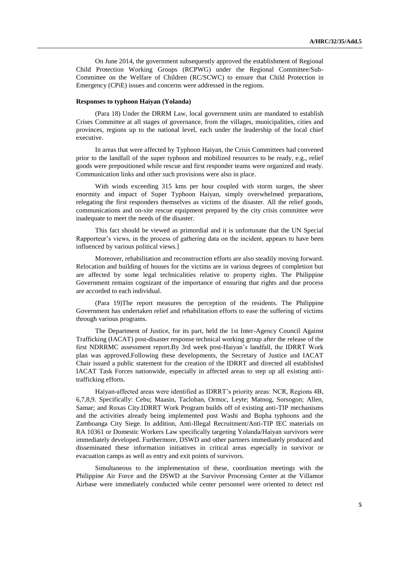On June 2014, the government subsequently approved the establishment of Regional Child Protection Working Groups (RCPWG) under the Regional Committee/Sub-Committee on the Welfare of Children (RC/SCWC) to ensure that Child Protection in Emergency (CPiE) issues and concerns were addressed in the regions.

#### **Responses to typhoon Haiyan (Yolanda)**

(Para 18) Under the DRRM Law, local government units are mandated to establish Crises Committee at all stages of governance, from the villages, municipalities, cities and provinces, regions up to the national level, each under the leadership of the local chief executive.

In areas that were affected by Typhoon Haiyan, the Crisis Committees had convened prior to the landfall of the super typhoon and mobilized resources to be ready, e.g., relief goods were prepositioned while rescue and first responder teams were organized and ready. Communication links and other such provisions were also in place.

With winds exceeding 315 kms per hour coupled with storm surges, the sheer enormity and impact of Super Typhoon Haiyan, simply overwhelmed preparations, relegating the first responders themselves as victims of the disaster. All the relief goods, communications and on-site rescue equipment prepared by the city crisis committee were inadequate to meet the needs of the disaster.

This fact should be viewed as primordial and it is unfortunate that the UN Special Rapporteur's views, in the process of gathering data on the incident, appears to have been influenced by various political views.]

Moreover, rehabilitation and reconstruction efforts are also steadily moving forward. Relocation and building of houses for the victims are in various degrees of completion but are affected by some legal technicalities relative to property rights. The Philippine Government remains cognizant of the importance of ensuring that rights and due process are accorded to each individual.

(Para 19)The report measures the perception of the residents. The Philippine Government has undertaken relief and rehabilitation efforts to ease the suffering of victims through various programs.

The Department of Justice, for its part, held the 1st Inter-Agency Council Against Trafficking (IACAT) post-disaster response technical working group after the release of the first NDRRMC assessment report.By 3rd week post-Haiyan's landfall, the IDRRT Work plan was approved.Following these developments, the Secretary of Justice and IACAT Chair issued a public statement for the creation of the IDRRT and directed all established IACAT Task Forces nationwide, especially in affected areas to step up all existing antitrafficking efforts.

Haiyan-affected areas were identified as IDRRT's priority areas: NCR, Regions 4B, 6,7,8,9. Specifically: Cebu; Maasin, Tacloban, Ormoc, Leyte; Matnog, Sorsogon; Allen, Samar; and Roxas City.IDRRT Work Program builds off of existing anti-TIP mechanisms and the activities already being implemented post Washi and Bopha typhoons and the Zamboanga City Siege. In addition, Anti-Illegal Recruitment/Anti-TIP IEC materials on RA 10361 or Domestic Workers Law specifically targeting Yolanda/Haiyan survivors were immediately developed. Furthermore, DSWD and other partners immediately produced and disseminated these information initiatives in critical areas especially in survivor or evacuation camps as well as entry and exit points of survivors.

Simultaneous to the implementation of these, coordination meetings with the Philippine Air Force and the DSWD at the Survivor Processing Center at the Villamor Airbase were immediately conducted while center personnel were oriented to detect red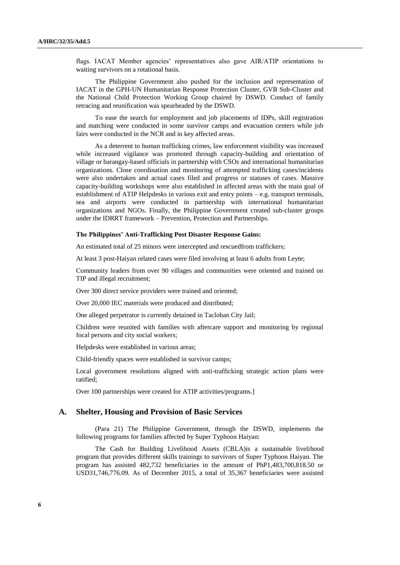flags. IACAT Member agencies' representatives also gave AIR/ATIP orientations to waiting survivors on a rotational basis.

The Philippine Government also pushed for the inclusion and representation of IACAT in the GPH-UN Humanitarian Response Protection Cluster, GVB Sub-Cluster and the National Child Protection Working Group chaired by DSWD. Conduct of family retracing and reunification was spearheaded by the DSWD.

To ease the search for employment and job placements of IDPs, skill registration and matching were conducted in some survivor camps and evacuation centers while job fairs were conducted in the NCR and in key affected areas.

As a deterrent to human trafficking crimes, law enforcement visibility was increased while increased vigilance was promoted through capacity-building and orientation of village or barangay-based officials in partnership with CSOs and international humanitarian organizations. Close coordination and monitoring of attempted trafficking cases/incidents were also undertaken and actual cases filed and progress or statuses of cases. Massive capacity-building workshops were also established in affected areas with the main goal of establishment of ATIP Helpdesks in various exit and entry points – e.g. transport terminals, sea and airports were conducted in partnership with international humanitarian organizations and NGOs. Finally, the Philippine Government created sub-cluster groups under the IDRRT framework – Prevention, Protection and Partnerships.

#### **The Philippines' Anti-Trafficking Post Disaster Response Gains:**

An estimated total of 25 minors were intercepted and rescuedfrom traffickers;

At least 3 post-Haiyan related cases were filed involving at least 6 adults from Leyte;

Community leaders from over 90 villages and communities were oriented and trained on TIP and illegal recruitment;

Over 300 direct service providers were trained and oriented;

Over 20,000 IEC materials were produced and distributed;

One alleged perpetrator is currently detained in Tacloban City Jail;

Children were reunited with families with aftercare support and monitoring by regional focal persons and city social workers;

Helpdesks were established in various areas;

Child-friendly spaces were established in survivor camps;

Local government resolutions aligned with anti-trafficking strategic action plans were ratified;

Over 100 partnerships were created for ATIP activities/programs.]

## **A. Shelter, Housing and Provision of Basic Services**

(Para 21) The Philippine Government, through the DSWD, implements the following programs for families affected by Super Typhoon Haiyan:

The Cash for Building Livelihood Assets (CBLA)is a sustainable livelihood program that provides different skills trainings to survivors of Super Typhoon Haiyan. The program has assisted 482,732 beneficiaries in the amount of PhP1,483,700,818.50 or USD31,746,776.09. As of December 2015, a total of 35,367 beneficiaries were assisted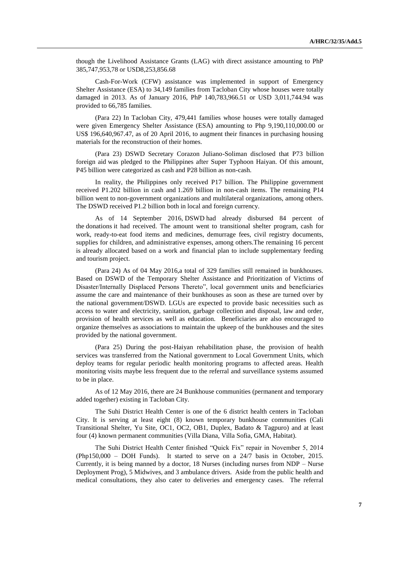though the Livelihood Assistance Grants (LAG) with direct assistance amounting to PhP 385,747,953,78 or USD8,253,856.68

Cash-For-Work (CFW) assistance was implemented in support of Emergency Shelter Assistance (ESA) to 34,149 families from Tacloban City whose houses were totally damaged in 2013. As of January 2016, PhP 140,783,966.51 or USD 3,011,744.94 was provided to 66,785 families.

(Para 22) In Tacloban City, 479,441 families whose houses were totally damaged were given Emergency Shelter Assistance (ESA) amounting to Php 9,190,110,000.00 or US\$ 196,640,967.47, as of 20 April 2016, to augment their finances in purchasing housing materials for the reconstruction of their homes.

(Para 23) DSWD Secretary Corazon Juliano-Soliman disclosed that P73 billion foreign aid was pledged to the Philippines after Super Typhoon Haiyan. Of this amount, P45 billion were categorized as cash and P28 billion as non-cash.

In reality, the Philippines only received P17 billion. The Philippine government received P1.202 billion in cash and 1.269 billion in non-cash items. The remaining P14 billion went to non-government organizations and multilateral organizations, among others. The DSWD received P1.2 billion both in local and foreign currency.

As of 14 September 2016, DSWD had already disbursed 84 percent of the donations it had received. The amount went to transitional shelter program, cash for work, ready-to-eat food items and medicines, demurrage fees, civil registry documents, supplies for children, and administrative expenses, among others.The remaining 16 percent is already allocated based on a work and financial plan to include supplementary feeding and tourism project.

(Para 24) As of 04 May 2016,a total of 329 families still remained in bunkhouses. Based on DSWD of the Temporary Shelter Assistance and Prioritization of Victims of Disaster/Internally Displaced Persons Thereto", local government units and beneficiaries assume the care and maintenance of their bunkhouses as soon as these are turned over by the national government/DSWD. LGUs are expected to provide basic necessities such as access to water and electricity, sanitation, garbage collection and disposal, law and order, provision of health services as well as education. Beneficiaries are also encouraged to organize themselves as associations to maintain the upkeep of the bunkhouses and the sites provided by the national government.

(Para 25) During the post-Haiyan rehabilitation phase, the provision of health services was transferred from the National government to Local Government Units, which deploy teams for regular periodic health monitoring programs to affected areas. Health monitoring visits maybe less frequent due to the referral and surveillance systems assumed to be in place.

As of 12 May 2016, there are 24 Bunkhouse communities (permanent and temporary added together) existing in Tacloban City.

The Suhi District Health Center is one of the 6 district health centers in Tacloban City. It is serving at least eight (8) known temporary bunkhouse communities (Cali Transitional Shelter, Yu Site, OC1, OC2, OB1, Duplex, Badato & Tagpuro) and at least four (4) known permanent communities (Villa Diana, Villa Sofia, GMA, Habitat).

The Suhi District Health Center finished "Quick Fix" repair in November 5, 2014 (Php150,000 – DOH Funds). It started to serve on a 24/7 basis in October, 2015. Currently, it is being manned by a doctor, 18 Nurses (including nurses from NDP – Nurse Deployment Prog), 5 Midwives, and 3 ambulance drivers. Aside from the public health and medical consultations, they also cater to deliveries and emergency cases. The referral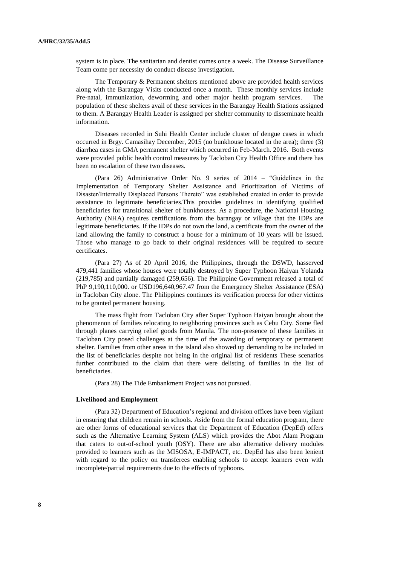system is in place. The sanitarian and dentist comes once a week. The Disease Surveillance Team come per necessity do conduct disease investigation.

The Temporary & Permanent shelters mentioned above are provided health services along with the Barangay Visits conducted once a month. These monthly services include Pre-natal, immunization, deworming and other major health program services. The population of these shelters avail of these services in the Barangay Health Stations assigned to them. A Barangay Health Leader is assigned per shelter community to disseminate health information.

Diseases recorded in Suhi Health Center include cluster of dengue cases in which occurred in Brgy. Camasihay December, 2015 (no bunkhouse located in the area); three (3) diarrhea cases in GMA permanent shelter which occurred in Feb-March. 2016. Both events were provided public health control measures by Tacloban City Health Office and there has been no escalation of these two diseases.

(Para 26) Administrative Order No. 9 series of 2014 – "Guidelines in the Implementation of Temporary Shelter Assistance and Prioritization of Victims of Disaster/Internally Displaced Persons Thereto" was established created in order to provide assistance to legitimate beneficiaries.This provides guidelines in identifying qualified beneficiaries for transitional shelter of bunkhouses. As a procedure, the National Housing Authority (NHA) requires certifications from the barangay or village that the IDPs are legitimate beneficiaries. If the IDPs do not own the land, a certificate from the owner of the land allowing the family to construct a house for a minimum of 10 years will be issued. Those who manage to go back to their original residences will be required to secure certificates.

(Para 27) As of 20 April 2016, the Philippines, through the DSWD, hasserved 479,441 families whose houses were totally destroyed by Super Typhoon Haiyan Yolanda (219,785) and partially damaged (259,656). The Philippine Government released a total of PhP 9,190,110,000. or USD196,640,967.47 from the Emergency Shelter Assistance (ESA) in Tacloban City alone. The Philippines continues its verification process for other victims to be granted permanent housing.

The mass flight from Tacloban City after Super Typhoon Haiyan brought about the phenomenon of families relocating to neighboring provinces such as Cebu City. Some fled through planes carrying relief goods from Manila. The non-presence of these families in Tacloban City posed challenges at the time of the awarding of temporary or permanent shelter. Families from other areas in the island also showed up demanding to be included in the list of beneficiaries despite not being in the original list of residents These scenarios further contributed to the claim that there were delisting of families in the list of beneficiaries.

(Para 28) The Tide Embankment Project was not pursued.

### **Livelihood and Employment**

(Para 32) Department of Education's regional and division offices have been vigilant in ensuring that children remain in schools. Aside from the formal education program, there are other forms of educational services that the Department of Education (DepEd) offers such as the Alternative Learning System (ALS) which provides the Abot Alam Program that caters to out-of-school youth (OSY). There are also alternative delivery modules provided to learners such as the MISOSA, E-IMPACT, etc. DepEd has also been lenient with regard to the policy on transferees enabling schools to accept learners even with incomplete/partial requirements due to the effects of typhoons.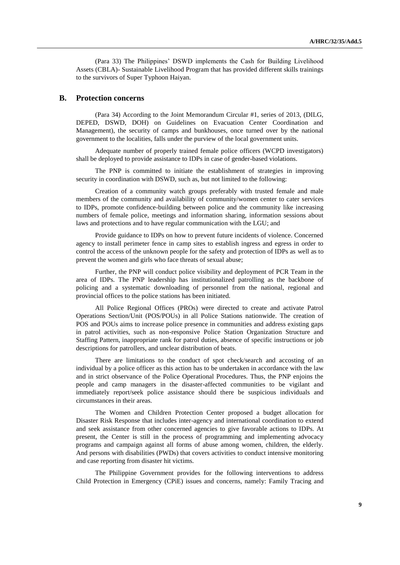(Para 33) The Philippines' DSWD implements the Cash for Building Livelihood Assets (CBLA)- Sustainable Livelihood Program that has provided different skills trainings to the survivors of Super Typhoon Haiyan.

## **B. Protection concerns**

(Para 34) According to the Joint Memorandum Circular #1, series of 2013, (DILG, DEPED, DSWD, DOH) on Guidelines on Evacuation Center Coordination and Management), the security of camps and bunkhouses, once turned over by the national government to the localities, falls under the purview of the local government units.

Adequate number of properly trained female police officers (WCPD investigators) shall be deployed to provide assistance to IDPs in case of gender-based violations.

The PNP is committed to initiate the establishment of strategies in improving security in coordination with DSWD, such as, but not limited to the following:

Creation of a community watch groups preferably with trusted female and male members of the community and availability of community/women center to cater services to IDPs, promote confidence-building between police and the community like increasing numbers of female police, meetings and information sharing, information sessions about laws and protections and to have regular communication with the LGU; and

Provide guidance to IDPs on how to prevent future incidents of violence. Concerned agency to install perimeter fence in camp sites to establish ingress and egress in order to control the access of the unknown people for the safety and protection of IDPs as well as to prevent the women and girls who face threats of sexual abuse;

Further, the PNP will conduct police visibility and deployment of PCR Team in the area of IDPs. The PNP leadership has institutionalized patrolling as the backbone of policing and a systematic downloading of personnel from the national, regional and provincial offices to the police stations has been initiated.

All Police Regional Offices (PROs) were directed to create and activate Patrol Operations Section/Unit (POS/POUs) in all Police Stations nationwide. The creation of POS and POUs aims to increase police presence in communities and address existing gaps in patrol activities, such as non-responsive Police Station Organization Structure and Staffing Pattern, inappropriate rank for patrol duties, absence of specific instructions or job descriptions for patrollers, and unclear distribution of beats.

There are limitations to the conduct of spot check/search and accosting of an individual by a police officer as this action has to be undertaken in accordance with the law and in strict observance of the Police Operational Procedures. Thus, the PNP enjoins the people and camp managers in the disaster-affected communities to be vigilant and immediately report/seek police assistance should there be suspicious individuals and circumstances in their areas.

The Women and Children Protection Center proposed a budget allocation for Disaster Risk Response that includes inter-agency and international coordination to extend and seek assistance from other concerned agencies to give favorable actions to IDPs. At present, the Center is still in the process of programming and implementing advocacy programs and campaign against all forms of abuse among women, children, the elderly. And persons with disabilities (PWDs) that covers activities to conduct intensive monitoring and case reporting from disaster hit victims.

The Philippine Government provides for the following interventions to address Child Protection in Emergency (CPiE) issues and concerns, namely: Family Tracing and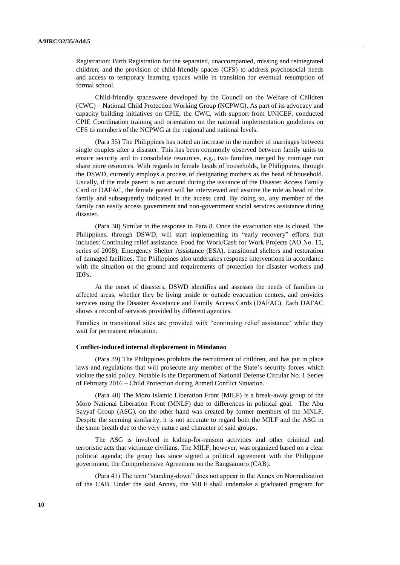Registration; Birth Registration for the separated, unaccompanied, missing and reintegrated children; and the provision of child-friendly spaces (CFS) to address psychosocial needs and access to temporary learning spaces while in transition for eventual resumption of formal school.

Child-friendly spaceswere developed by the Council on the Welfare of Children (CWC) – National Child Protection Working Group (NCPWG). As part of its advocacy and capacity building initiatives on CPIE, the CWC, with support from UNICEF, conducted CPIE Coordination training and orientation on the national implementation guidelines on CFS to members of the NCPWG at the regional and national levels.

(Para 35) The Philippines has noted an increase in the number of marriages between single couples after a disaster. This has been commonly observed between family units to ensure security and to consolidate resources, e.g., two families merged by marriage can share more resources. With regards to female heads of households, he Philippines, through the DSWD, currently employs a process of designating mothers as the head of household. Usually, if the male parent is not around during the issuance of the Disaster Access Family Card or DAFAC, the female parent will be interviewed and assume the role as head of the family and subsequently indicated in the access card. By doing so, any member of the family can easily access government and non-government social services assistance during disaster.

(Para 38) Similar to the response in Para 8. Once the evacuation site is closed, The Philippines, through DSWD, will start implementing its "early recovery" efforts that includes: Continuing relief assistance, Food for Work/Cash for Work Projects (AO No. 15, series of 2008), Emergency Shelter Assistance (ESA), transitional shelters and restoration of damaged facilities. The Philippines also undertakes response interventions in accordance with the situation on the ground and requirements of protection for disaster workers and IDPs.

At the onset of disasters, DSWD identifies and assesses the needs of families in affected areas, whether they be living inside or outside evacuation centres, and provides services using the Disaster Assistance and Family Access Cards (DAFAC). Each DAFAC shows a record of services provided by different agencies.

Families in transitional sites are provided with "continuing relief assistance' while they wait for permanent relocation.

#### **Conflict-induced internal displacement in Mindanao**

(Para 39) The Philippines prohibits the recruitment of children, and has put in place laws and regulations that will prosecute any member of the State's security forces which violate the said policy. Notable is the Department of National Defense Circular No. 1 Series of February 2016 – Child Protection during Armed Conflict Situation.

(Para 40) The Moro Islamic Liberation Front (MILF) is a break-away group of the Moro National Liberation Front (MNLF) due to differences in political goal. The Abu Sayyaf Group (ASG), on the other hand was created by former members of the MNLF. Despite the seeming similarity, it is not accurate to regard both the MILF and the ASG in the same breath due to the very nature and character of said groups.

The ASG is involved in kidnap-for-ransom activities and other criminal and terroristic acts that victimize civilians. The MILF, however, was organized based on a clear political agenda; the group has since signed a political agreement with the Philippine government, the Comprehensive Agreement on the Bangsamoro (CAB).

(Para 41) The term "standing-down" does not appear in the Annex on Normalization of the CAB. Under the said Annex, the MILF shall undertake a graduated program for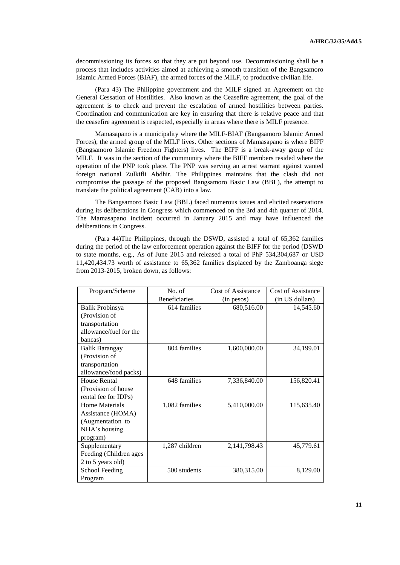decommissioning its forces so that they are put beyond use. Decommissioning shall be a process that includes activities aimed at achieving a smooth transition of the Bangsamoro Islamic Armed Forces (BIAF), the armed forces of the MILF, to productive civilian life.

(Para 43) The Philippine government and the MILF signed an Agreement on the General Cessation of Hostilities. Also known as the Ceasefire agreement, the goal of the agreement is to check and prevent the escalation of armed hostilities between parties. Coordination and communication are key in ensuring that there is relative peace and that the ceasefire agreement is respected, especially in areas where there is MILF presence.

Mamasapano is a municipality where the MILF-BIAF (Bangsamoro Islamic Armed Forces), the armed group of the MILF lives. Other sections of Mamasapano is where BIFF (Bangsamoro Islamic Freedom Fighters) lives. The BIFF is a break-away group of the MILF. It was in the section of the community where the BIFF members resided where the operation of the PNP took place. The PNP was serving an arrest warrant against wanted foreign national Zulkifli Abdhir. The Philippines maintains that the clash did not compromise the passage of the proposed Bangsamoro Basic Law (BBL), the attempt to translate the political agreement (CAB) into a law.

The Bangsamoro Basic Law (BBL) faced numerous issues and elicited reservations during its deliberations in Congress which commenced on the 3rd and 4th quarter of 2014. The Mamasapano incident occurred in January 2015 and may have influenced the deliberations in Congress.

(Para 44)The Philippines, through the DSWD, assisted a total of 65,362 families during the period of the law enforcement operation against the BIFF for the period (DSWD to state months, e.g., As of June 2015 and released a total of PhP 534,304,687 or USD 11,420,434.73 worth of assistance to 65,362 families displaced by the Zamboanga siege from 2013-2015, broken down, as follows:

| Program/Scheme         | No. of               | Cost of Assistance | Cost of Assistance |
|------------------------|----------------------|--------------------|--------------------|
|                        | <b>Beneficiaries</b> | (in pesos)         | (in US dollars)    |
| Balik Probinsya        | 614 families         | 680,516.00         | 14,545.60          |
| (Provision of          |                      |                    |                    |
| transportation         |                      |                    |                    |
| allowance/fuel for the |                      |                    |                    |
| bancas)                |                      |                    |                    |
| <b>Balik Barangay</b>  | 804 families         | 1,600,000.00       | 34,199.01          |
| (Provision of          |                      |                    |                    |
| transportation         |                      |                    |                    |
| allowance/food packs)  |                      |                    |                    |
| House Rental           | 648 families         | 7,336,840.00       | 156,820.41         |
| (Provision of house    |                      |                    |                    |
| rental fee for IDPs)   |                      |                    |                    |
| Home Materials         | 1,082 families       | 5,410,000.00       | 115,635.40         |
| Assistance (HOMA)      |                      |                    |                    |
| (Augmentation to       |                      |                    |                    |
| NHA's housing          |                      |                    |                    |
| program)               |                      |                    |                    |
| Supplementary          | 1,287 children       | 2,141,798.43       | 45,779.61          |
| Feeding (Children ages |                      |                    |                    |
| 2 to 5 years old)      |                      |                    |                    |
| School Feeding         | 500 students         | 380,315.00         | 8,129.00           |
| Program                |                      |                    |                    |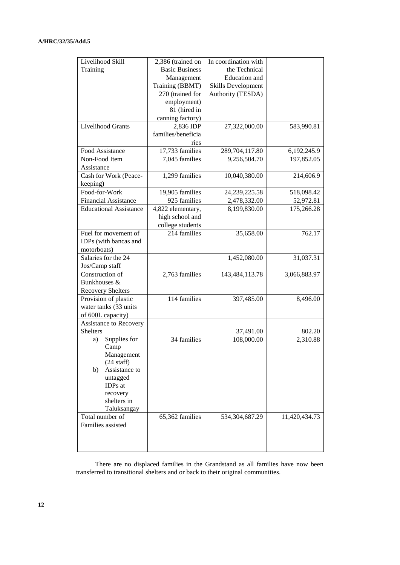| Livelihood Skill<br>Training                                                                                  | 2,386 (trained on<br><b>Basic Business</b><br>Management<br>Training (BBMT)<br>270 (trained for | In coordination with<br>the Technical<br><b>Education</b> and<br><b>Skills Development</b><br>Authority (TESDA) |                    |
|---------------------------------------------------------------------------------------------------------------|-------------------------------------------------------------------------------------------------|-----------------------------------------------------------------------------------------------------------------|--------------------|
|                                                                                                               | employment)<br>81 (hired in<br>canning factory)                                                 |                                                                                                                 |                    |
| <b>Livelihood Grants</b>                                                                                      | 2,836 IDP<br>families/beneficia<br>ries                                                         | 27,322,000.00                                                                                                   | 583,990.81         |
| Food Assistance                                                                                               | 17,733 families                                                                                 | 289,704,117.80                                                                                                  | 6, 192, 245. 9     |
| Non-Food Item<br>Assistance                                                                                   | 7,045 families                                                                                  | 9,256,504.70                                                                                                    | 197,852.05         |
| Cash for Work (Peace-<br>keeping)                                                                             | 1,299 families                                                                                  | 10,040,380.00                                                                                                   | 214,606.9          |
| Food-for-Work                                                                                                 | 19,905 families                                                                                 | 24, 239, 225.58                                                                                                 | 518,098.42         |
| <b>Financial Assistance</b>                                                                                   | 925 families                                                                                    | 2,478,332.00                                                                                                    | 52,972.81          |
| <b>Educational Assistance</b>                                                                                 | 4,822 elementary,<br>high school and<br>college students                                        | 8,199,830.00                                                                                                    | 175,266.28         |
| Fuel for movement of<br>IDPs (with bancas and<br>motorboats)                                                  | 214 families                                                                                    | 35,658.00                                                                                                       | 762.17             |
| Salaries for the 24<br>Jos/Camp staff                                                                         |                                                                                                 | 1,452,080.00                                                                                                    | 31,037.31          |
| Construction of<br>Bunkhouses &<br><b>Recovery Shelters</b>                                                   | 2,763 families                                                                                  | 143,484,113.78                                                                                                  | 3,066,883.97       |
| Provision of plastic<br>water tanks (33 units<br>of 600L capacity)                                            | 114 families                                                                                    | 397,485.00                                                                                                      | 8,496.00           |
| Assistance to Recovery<br><b>Shelters</b><br>Supplies for<br>a)<br>Camp<br>Management<br>$(24 \text{ staff})$ | 34 families                                                                                     | 37,491.00<br>108,000.00                                                                                         | 802.20<br>2,310.88 |
| Assistance to<br>b)<br>untagged<br>IDPs at<br>recovery<br>shelters in<br>Taluksangay                          |                                                                                                 |                                                                                                                 |                    |
| Total number of<br>Families assisted                                                                          | 65,362 families                                                                                 | 534,304,687.29                                                                                                  | 11,420,434.73      |

There are no displaced families in the Grandstand as all families have now been transferred to transitional shelters and or back to their original communities.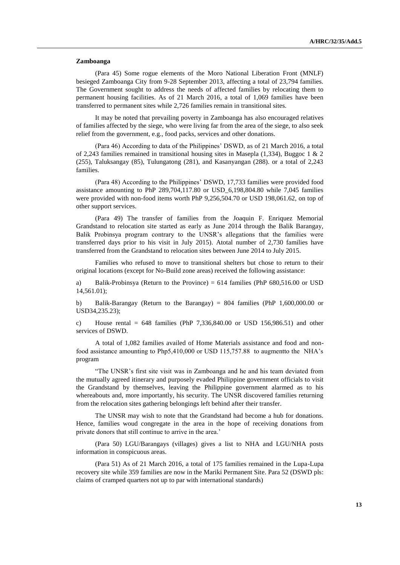#### **Zamboanga**

(Para 45) Some rogue elements of the Moro National Liberation Front (MNLF) besieged Zamboanga City from 9-28 September 2013, affecting a total of 23,794 families. The Government sought to address the needs of affected families by relocating them to permanent housing facilities. As of 21 March 2016, a total of 1,069 families have been transferred to permanent sites while 2,726 families remain in transitional sites.

It may be noted that prevailing poverty in Zamboanga has also encouraged relatives of families affected by the siege, who were living far from the area of the siege, to also seek relief from the government, e.g., food packs, services and other donations.

(Para 46) According to data of the Philippines' DSWD, as of 21 March 2016, a total of 2,243 families remained in transitional housing sites in Masepla (1,334), Buggoc 1 & 2 (255), Taluksangay (85), Tulungatong (281), and Kasanyangan (288). or a total of 2,243 families.

(Para 48) According to the Philippines' DSWD, 17,733 families were provided food assistance amounting to PhP 289,704,117.80 or USD\_6,198,804.80 while 7,045 families were provided with non-food items worth PhP 9,256,504.70 or USD 198,061.62, on top of other support services.

(Para 49) The transfer of families from the Joaquin F. Enriquez Memorial Grandstand to relocation site started as early as June 2014 through the Balik Barangay, Balik Probinsya program contrary to the UNSR's allegations that the families were transferred days prior to his visit in July 2015). Atotal number of 2,730 families have transferred from the Grandstand to relocation sites between June 2014 to July 2015.

Families who refused to move to transitional shelters but chose to return to their original locations (except for No-Build zone areas) received the following assistance:

a) Balik-Probinsya (Return to the Province) = 614 families (PhP 680,516.00 or USD 14,561.01);

b) Balik-Barangay (Return to the Barangay) = 804 families (PhP 1,600,000.00 or USD34,235.23);

c) House rental =  $648$  families (PhP 7,336,840.00 or USD 156,986.51) and other services of DSWD.

A total of 1,082 families availed of Home Materials assistance and food and nonfood assistance amounting to Php5,410,000 or USD 115,757.88 to augmentto the NHA's program

"The UNSR's first site visit was in Zamboanga and he and his team deviated from the mutually agreed itinerary and purposely evaded Philippine government officials to visit the Grandstand by themselves, leaving the Philippine government alarmed as to his whereabouts and, more importantly, his security. The UNSR discovered families returning from the relocation sites gathering belongings left behind after their transfer.

The UNSR may wish to note that the Grandstand had become a hub for donations. Hence, families woud congregate in the area in the hope of receiving donations from private donors that still continue to arrive in the area.'

(Para 50) LGU/Barangays (villages) gives a list to NHA and LGU/NHA posts information in conspicuous areas.

(Para 51) As of 21 March 2016, a total of 175 families remained in the Lupa-Lupa recovery site while 359 families are now in the Mariki Permanent Site. Para 52 (DSWD pls: claims of cramped quarters not up to par with international standards)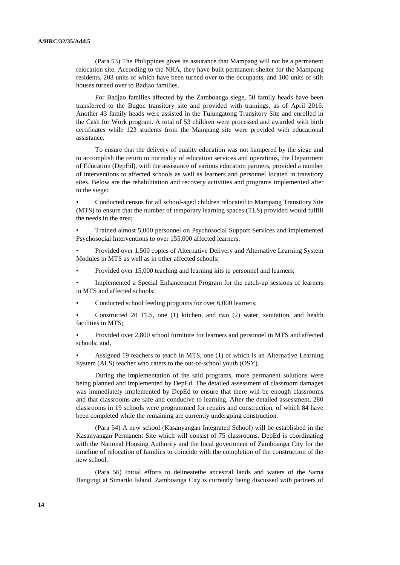(Para 53) The Philippines gives its assurance that Mampang will not be a permanent relocation site. According to the NHA, they have built permanent shelter for the Mampang residents, 203 units of which have been turned over to the occupants, and 100 units of stilt houses turned over to Badjao families.

For Badjao families affected by the Zamboanga siege, 50 family heads have been transferred to the Bugoc transitory site and provided with trainings, as of April 2016. Another 43 family heads were assisted in the Tulungatong Transitory Site and enrolled in the Cash for Work program. A total of 53 children were processed and awarded with birth certificates while 123 students from the Mampang site were provided with educational assistance.

To ensure that the delivery of quality education was not hampered by the siege and to accomplish the return to normalcy of education services and operations, the Department of Education (DepEd), with the assistance of various education partners, provided a number of interventions to affected schools as well as learners and personnel located in transitory sites. Below are the rehabilitation and recovery activities and programs implemented after to the siege:

• Conducted census for all school-aged children relocated to Mampang Transitory Site (MTS) to ensure that the number of temporary learning spaces (TLS) provided would fulfill the needs in the area;

• Trained almost 5,000 personnel on Psychosocial Support Services and implemented Psychosocial Interventions to over 155,000 affected learners;

• Provided over 1,500 copies of Alternative Delivery and Alternative Learning System Modules in MTS as well as in other affected schools;

• Provided over 15,000 teaching and learning kits to personnel and learners;

• Implemented a Special Enhancement Program for the catch-up sessions of learners in MTS and affected schools;

Conducted school feeding programs for over 6,000 learners;

• Constructed 20 TLS, one (1) kitchen, and two (2) water, sanitation, and health facilities in MTS;

• Provided over 2,800 school furniture for learners and personnel in MTS and affected schools; and,

Assigned 19 teachers to teach in MTS, one (1) of which is an Alternative Learning System (ALS) teacher who caters to the out-of-school youth (OSY).

During the implementation of the said programs, more permanent solutions were being planned and implemented by DepEd. The detailed assessment of classroom damages was immediately implemented by DepEd to ensure that there will be enough classrooms and that classrooms are safe and conducive to learning. After the detailed assessment, 280 classrooms in 19 schools were programmed for repairs and construction, of which 84 have been completed while the remaining are currently undergoing construction.

(Para 54) A new school (Kasanyangan Integrated School) will be established in the Kasanyangan Permanent Site which will consist of 75 classrooms. DepEd is coordinating with the National Housing Authority and the local government of Zamboanga City for the timeline of relocation of families to coincide with the completion of the construction of the new school.

(Para 56) Initial efforts to delineatethe ancestral lands and waters of the Sama Bangingi at Simariki Island, Zamboanga City is currently being discussed with partners of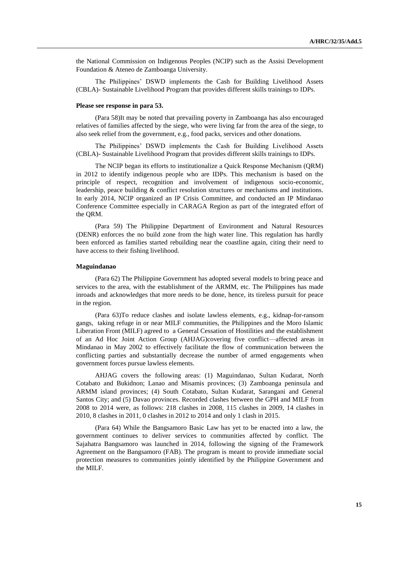the National Commission on Indigenous Peoples (NCIP) such as the Assisi Development Foundation & Ateneo de Zamboanga University.

The Philippines' DSWD implements the Cash for Building Livelihood Assets (CBLA)- Sustainable Livelihood Program that provides different skills trainings to IDPs.

#### **Please see response in para 53.**

(Para 58)It may be noted that prevailing poverty in Zamboanga has also encouraged relatives of families affected by the siege, who were living far from the area of the siege, to also seek relief from the government, e.g., food packs, services and other donations.

The Philippines' DSWD implements the Cash for Building Livelihood Assets (CBLA)- Sustainable Livelihood Program that provides different skills trainings to IDPs.

The NCIP began its efforts to institutionalize a Quick Response Mechanism (QRM) in 2012 to identify indigenous people who are IDPs. This mechanism is based on the principle of respect, recognition and involvement of indigenous socio-economic, leadership, peace building & conflict resolution structures or mechanisms and institutions. In early 2014, NCIP organized an IP Crisis Committee, and conducted an IP Mindanao Conference Committee especially in CARAGA Region as part of the integrated effort of the QRM.

(Para 59) The Philippine Department of Environment and Natural Resources (DENR) enforces the no build zone from the high water line. This regulation has hardly been enforced as families started rebuilding near the coastline again, citing their need to have access to their fishing livelihood.

#### **Maguindanao**

(Para 62) The Philippine Government has adopted several models to bring peace and services to the area, with the establishment of the ARMM, etc. The Philippines has made inroads and acknowledges that more needs to be done, hence, its tireless pursuit for peace in the region.

(Para 63)To reduce clashes and isolate lawless elements, e.g., kidnap-for-ransom gangs, taking refuge in or near MILF communities, the Philippines and the Moro Islamic Liberation Front (MILF) agreed to a General Cessation of Hostilities and the establishment of an Ad Hoc Joint Action Group (AHJAG)covering five conflict—affected areas in Mindanao in May 2002 to effectively facilitate the flow of communication between the conflicting parties and substantially decrease the number of armed engagements when government forces pursue lawless elements.

AHJAG covers the following areas: (1) Maguindanao, Sultan Kudarat, North Cotabato and Bukidnon; Lanao and Misamis provinces; (3) Zamboanga peninsula and ARMM island provinces; (4) South Cotabato, Sultan Kudarat, Sarangani and General Santos City; and (5) Davao provinces. Recorded clashes between the GPH and MILF from 2008 to 2014 were, as follows: 218 clashes in 2008, 115 clashes in 2009, 14 clashes in 2010, 8 clashes in 2011, 0 clashes in 2012 to 2014 and only 1 clash in 2015.

(Para 64) While the Bangsamoro Basic Law has yet to be enacted into a law, the government continues to deliver services to communities affected by conflict. The Sajahatra Bangsamoro was launched in 2014, following the signing of the Framework Agreement on the Bangsamoro (FAB). The program is meant to provide immediate social protection measures to communities jointly identified by the Philippine Government and the MILF.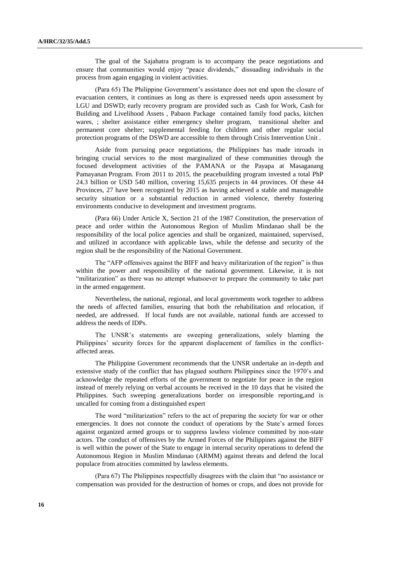The goal of the Sajahatra program is to accompany the peace negotiations and ensure that communities would enjoy "peace dividends," dissuading individuals in the process from again engaging in violent activities.

(Para 65) The Philippine Government's assistance does not end upon the closure of evacuation centers, it continues as long as there is expressed needs upon assessment by LGU and DSWD; early recovery program are provided such as Cash for Work, Cash for Building and Livelihood Assets , Pabaon Package contained family food packs, kitchen wares, ; shelter assistance either emergency shelter program, transitional shelter and permanent core shelter; supplemental feeding for children and other regular social protection programs of the DSWD are accessible to them through Crisis Intervention Unit .

Aside from pursuing peace negotiations, the Philippines has made inroads in bringing crucial services to the most marginalized of these communities through the focused development activities of the PAMANA or the Payapa at Masaganang Pamayanan Program. From 2011 to 2015, the peacebuilding program invested a total PhP 24.3 billion or USD 540 million, covering 15,635 projects in 44 provinces. Of these 44 Provinces, 27 have been recognized by 2015 as having achieved a stable and manageable security situation or a substantial reduction in armed violence, thereby fostering environments conducive to development and investment programs.

(Para 66) Under Article X, Section 21 of the 1987 Constitution, the preservation of peace and order within the Autonomous Region of Muslim Mindanao shall be the responsibility of the local police agencies and shall be organized, maintained, supervised, and utilized in accordance with applicable laws, while the defense and security of the region shall be the responsibility of the National Government.

The "AFP offensives against the BIFF and heavy militarization of the region" is thus within the power and responsibility of the national government. Likewise, it is not "militarization" as there was no attempt whatsoever to prepare the community to take part in the armed engagement.

Nevertheless, the national, regional, and local governments work together to address the needs of affected families, ensuring that both the rehabilitation and relocation, if needed, are addressed. If local funds are not available, national funds are accessed to address the needs of IDPs.

The UNSR's statements are sweeping generalizations, solely blaming the Philippines' security forces for the apparent displacement of families in the conflictaffected areas.

The Philippine Government recommends that the UNSR undertake an in-depth and extensive study of the conflict that has plagued southern Philippines since the 1970's and acknowledge the repeated efforts of the government to negotiate for peace in the region instead of merely relying on verbal accounts he received in the 10 days that he visited the Philippines. Such sweeping generalizations border on irresponsible reporting,and is uncalled for coming from a distinguished expert

The word "militarization" refers to the act of preparing the society for war or other emergencies. It does not connote the conduct of operations by the State's armed forces against organized armed groups or to suppress lawless violence committed by non-state actors. The conduct of offensives by the Armed Forces of the Philippines against the BIFF is well within the power of the State to engage in internal security operations to defend the Autonomous Region in Muslim Mindanao (ARMM) against threats and defend the local populace from atrocities committed by lawless elements.

(Para 67) The Philippines respectfully disagrees with the claim that "no assistance or compensation was provided for the destruction of homes or crops, and does not provide for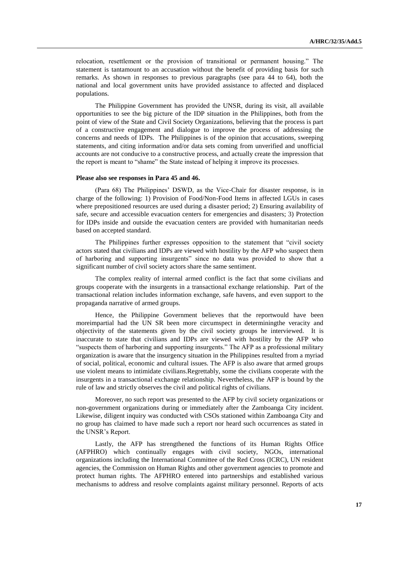relocation, resettlement or the provision of transitional or permanent housing." The statement is tantamount to an accusation without the benefit of providing basis for such remarks. As shown in responses to previous paragraphs (see para 44 to 64), both the national and local government units have provided assistance to affected and displaced populations.

The Philippine Government has provided the UNSR, during its visit, all available opportunities to see the big picture of the IDP situation in the Philippines, both from the point of view of the State and Civil Society Organizations, believing that the process is part of a constructive engagement and dialogue to improve the process of addressing the concerns and needs of IDPs. The Philippines is of the opinion that accusations, sweeping statements, and citing information and/or data sets coming from unverified and unofficial accounts are not conducive to a constructive process, and actually create the impression that the report is meant to "shame" the State instead of helping it improve its processes.

#### **Please also see responses in Para 45 and 46.**

(Para 68) The Philippines' DSWD, as the Vice-Chair for disaster response, is in charge of the following: 1) Provision of Food/Non-Food Items in affected LGUs in cases where prepositioned resources are used during a disaster period; 2) Ensuring availability of safe, secure and accessible evacuation centers for emergencies and disasters; 3) Protection for IDPs inside and outside the evacuation centers are provided with humanitarian needs based on accepted standard.

The Philippines further expresses opposition to the statement that "civil society actors stated that civilians and IDPs are viewed with hostility by the AFP who suspect them of harboring and supporting insurgents" since no data was provided to show that a significant number of civil society actors share the same sentiment.

The complex reality of internal armed conflict is the fact that some civilians and groups cooperate with the insurgents in a transactional exchange relationship. Part of the transactional relation includes information exchange, safe havens, and even support to the propaganda narrative of armed groups.

Hence, the Philippine Government believes that the reportwould have been moreimpartial had the UN SR been more circumspect in determiningthe veracity and objectivity of the statements given by the civil society groups he interviewed. It is inaccurate to state that civilians and IDPs are viewed with hostility by the AFP who "suspects them of harboring and supporting insurgents." The AFP as a professional military organization is aware that the insurgency situation in the Philippines resulted from a myriad of social, political, economic and cultural issues. The AFP is also aware that armed groups use violent means to intimidate civilians.Regrettably, some the civilians cooperate with the insurgents in a transactional exchange relationship. Nevertheless, the AFP is bound by the rule of law and strictly observes the civil and political rights of civilians.

Moreover, no such report was presented to the AFP by civil society organizations or non-government organizations during or immediately after the Zamboanga City incident. Likewise, diligent inquiry was conducted with CSOs stationed within Zamboanga City and no group has claimed to have made such a report nor heard such occurrences as stated in the UNSR's Report.

Lastly, the AFP has strengthened the functions of its Human Rights Office (AFPHRO) which continually engages with civil society, NGOs, international organizations including the International Committee of the Red Cross (ICRC), UN resident agencies, the Commission on Human Rights and other government agencies to promote and protect human rights. The AFPHRO entered into partnerships and established various mechanisms to address and resolve complaints against military personnel. Reports of acts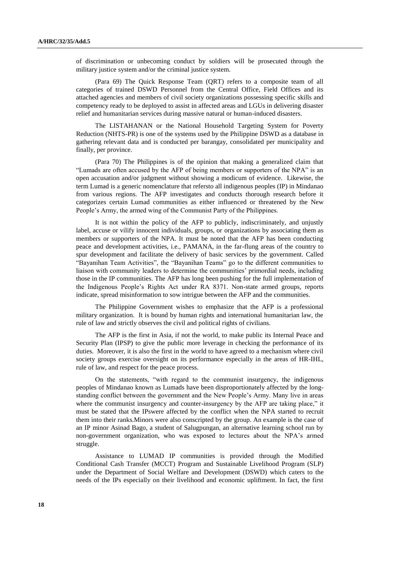of discrimination or unbecoming conduct by soldiers will be prosecuted through the military justice system and/or the criminal justice system.

(Para 69) The Quick Response Team (QRT) refers to a composite team of all categories of trained DSWD Personnel from the Central Office, Field Offices and its attached agencies and members of civil society organizations possessing specific skills and competency ready to be deployed to assist in affected areas and LGUs in delivering disaster relief and humanitarian services during massive natural or human-induced disasters.

The LISTAHANAN or the National Household Targeting System for Poverty Reduction (NHTS-PR) is one of the systems used by the Philippine DSWD as a database in gathering relevant data and is conducted per barangay, consolidated per municipality and finally, per province.

(Para 70) The Philippines is of the opinion that making a generalized claim that "Lumads are often accused by the AFP of being members or supporters of the NPA" is an open accusation and/or judgment without showing a modicum of evidence. Likewise, the term Lumad is a generic nomenclature that refersto all indigenous peoples (IP) in Mindanao from various regions. The AFP investigates and conducts thorough research before it categorizes certain Lumad communities as either influenced or threatened by the New People's Army, the armed wing of the Communist Party of the Philippines.

It is not within the policy of the AFP to publicly, indiscriminately, and unjustly label, accuse or vilify innocent individuals, groups, or organizations by associating them as members or supporters of the NPA. It must be noted that the AFP has been conducting peace and development activities, i.e., PAMANA, in the far-flung areas of the country to spur development and facilitate the delivery of basic services by the government. Called "Bayanihan Team Activities", the "Bayanihan Teams" go to the different communities to liaison with community leaders to determine the communities' primordial needs, including those in the IP communities. The AFP has long been pushing for the full implementation of the Indigenous People's Rights Act under RA 8371. Non-state armed groups, reports indicate, spread misinformation to sow intrigue between the AFP and the communities.

The Philippine Government wishes to emphasize that the AFP is a professional military organization. It is bound by human rights and international humanitarian law, the rule of law and strictly observes the civil and political rights of civilians.

The AFP is the first in Asia, if not the world, to make public its Internal Peace and Security Plan (IPSP) to give the public more leverage in checking the performance of its duties. Moreover, it is also the first in the world to have agreed to a mechanism where civil society groups exercise oversight on its performance especially in the areas of HR-IHL, rule of law, and respect for the peace process.

On the statements, "with regard to the communist insurgency, the indigenous peoples of Mindanao known as Lumads have been disproportionately affected by the longstanding conflict between the government and the New People's Army. Many live in areas where the communist insurgency and counter-insurgency by the AFP are taking place," it must be stated that the IPswere affected by the conflict when the NPA started to recruit them into their ranks.Minors were also conscripted by the group. An example is the case of an IP minor Asinad Bago, a student of Salugpungan, an alternative learning school run by non-government organization, who was exposed to lectures about the NPA's armed struggle.

Assistance to LUMAD IP communities is provided through the Modified Conditional Cash Transfer (MCCT) Program and Sustainable Livelihood Program (SLP) under the Department of Social Welfare and Development (DSWD) which caters to the needs of the IPs especially on their livelihood and economic upliftment. In fact, the first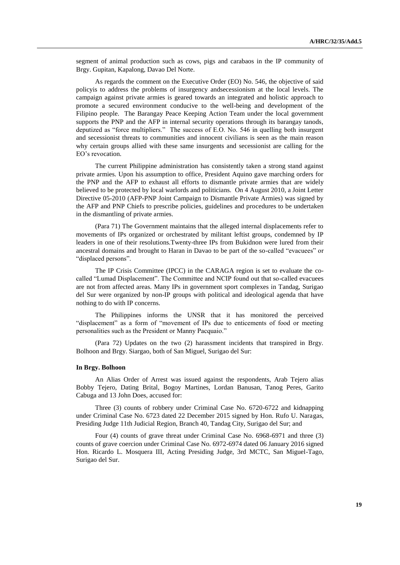segment of animal production such as cows, pigs and carabaos in the IP community of Brgy. Gupitan, Kapalong, Davao Del Norte.

As regards the comment on the Executive Order (EO) No. 546, the objective of said policyis to address the problems of insurgency andsecessionism at the local levels. The campaign against private armies is geared towards an integrated and holistic approach to promote a secured environment conducive to the well-being and development of the Filipino people. The Barangay Peace Keeping Action Team under the local government supports the PNP and the AFP in internal security operations through its barangay tanods, deputized as "force multipliers." The success of E.O. No. 546 in quelling both insurgent and secessionist threats to communities and innocent civilians is seen as the main reason why certain groups allied with these same insurgents and secessionist are calling for the EO's revocation.

The current Philippine administration has consistently taken a strong stand against private armies. Upon his assumption to office, President Aquino gave marching orders for the PNP and the AFP to exhaust all efforts to dismantle private armies that are widely believed to be protected by local warlords and politicians. On 4 August 2010, a Joint Letter Directive 05-2010 (AFP-PNP Joint Campaign to Dismantle Private Armies) was signed by the AFP and PNP Chiefs to prescribe policies, guidelines and procedures to be undertaken in the dismantling of private armies.

(Para 71) The Government maintains that the alleged internal displacements refer to movements of IPs organized or orchestrated by militant leftist groups, condemned by IP leaders in one of their resolutions.Twenty-three IPs from Bukidnon were lured from their ancestral domains and brought to Haran in Davao to be part of the so-called "evacuees" or "displaced persons".

The IP Crisis Committee (IPCC) in the CARAGA region is set to evaluate the cocalled "Lumad Displacement". The Committee and NCIP found out that so-called evacuees are not from affected areas. Many IPs in government sport complexes in Tandag, Surigao del Sur were organized by non-IP groups with political and ideological agenda that have nothing to do with IP concerns.

The Philippines informs the UNSR that it has monitored the perceived "displacement" as a form of "movement of IPs due to enticements of food or meeting personalities such as the President or Manny Pacquaio."

(Para 72) Updates on the two (2) harassment incidents that transpired in Brgy. Bolhoon and Brgy. Siargao, both of San Miguel, Surigao del Sur:

### **In Brgy. Bolhoon**

An Alias Order of Arrest was issued against the respondents, Arab Tejero alias Bobby Tejero, Dating Brital, Bogoy Martines, Lordan Banusan, Tanog Peres, Garito Cabuga and 13 John Does, accused for:

Three (3) counts of robbery under Criminal Case No. 6720-6722 and kidnapping under Criminal Case No. 6723 dated 22 December 2015 signed by Hon. Rufo U. Naragas, Presiding Judge 11th Judicial Region, Branch 40, Tandag City, Surigao del Sur; and

Four (4) counts of grave threat under Criminal Case No. 6968-6971 and three (3) counts of grave coercion under Criminal Case No. 6972-6974 dated 06 January 2016 signed Hon. Ricardo L. Mosquera III, Acting Presiding Judge, 3rd MCTC, San Miguel-Tago, Surigao del Sur.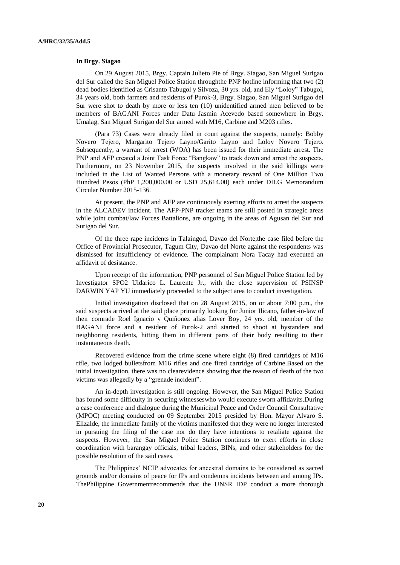#### **In Brgy. Siagao**

On 29 August 2015, Brgy. Captain Julieto Pie of Brgy. Siagao, San Miguel Surigao del Sur called the San Miguel Police Station throughthe PNP hotline informing that two (2) dead bodies identified as Crisanto Tabugol y Silvoza, 30 yrs. old, and Ely "Loloy" Tabugol, 34 years old, both farmers and residents of Purok-3, Brgy. Siagao, San Miguel Surigao del Sur were shot to death by more or less ten (10) unidentified armed men believed to be members of BAGANI Forces under Datu Jasmin Acevedo based somewhere in Brgy. Umalag, San Miguel Surigao del Sur armed with M16, Carbine and M203 rifles.

(Para 73) Cases were already filed in court against the suspects, namely: Bobby Novero Tejero, Margarito Tejero Layno/Garito Layno and Loloy Novero Tejero. Subsequently, a warrant of arrest (WOA) has been issued for their immediate arrest. The PNP and AFP created a Joint Task Force "Bangkaw" to track down and arrest the suspects. Furthermore, on 23 November 2015, the suspects involved in the said killings were included in the List of Wanted Persons with a monetary reward of One Million Two Hundred Pesos (PhP 1,200,000.00 or USD 25,614.00) each under DILG Memorandum Circular Number 2015-136.

At present, the PNP and AFP are continuously exerting efforts to arrest the suspects in the ALCADEV incident. The AFP-PNP tracker teams are still posted in strategic areas while joint combat/law Forces Battalions, are ongoing in the areas of Agusan del Sur and Surigao del Sur.

Of the three rape incidents in Talaingod, Davao del Norte,the case filed before the Office of Provincial Prosecutor, Tagum City, Davao del Norte against the respondents was dismissed for insufficiency of evidence. The complainant Nora Tacay had executed an affidavit of desistance.

Upon receipt of the information, PNP personnel of San Miguel Police Station led by Investigator SPO2 Uldarico L. Laurente Jr., with the close supervision of PSINSP DARWIN YAP YU immediately proceeded to the subject area to conduct investigation.

Initial investigation disclosed that on 28 August 2015, on or about 7:00 p.m., the said suspects arrived at the said place primarily looking for Junior Ilicano, father-in-law of their comrade Roel Ignacio y Quiñonez alias Lover Boy, 24 yrs. old, member of the BAGANI force and a resident of Purok-2 and started to shoot at bystanders and neighboring residents, hitting them in different parts of their body resulting to their instantaneous death.

Recovered evidence from the crime scene where eight (8) fired cartridges of M16 rifle, two lodged bulletsfrom M16 rifles and one fired cartridge of Carbine.Based on the initial investigation, there was no clearevidence showing that the reason of death of the two victims was allegedly by a "grenade incident".

An in-depth investigation is still ongoing. However, the San Miguel Police Station has found some difficulty in securing witnesseswho would execute sworn affidavits.During a case conference and dialogue during the Municipal Peace and Order Council Consultative (MPOC) meeting conducted on 09 September 2015 presided by Hon. Mayor Alvaro S. Elizalde, the immediate family of the victims manifested that they were no longer interested in pursuing the filing of the case nor do they have intentions to retaliate against the suspects. However, the San Miguel Police Station continues to exert efforts in close coordination with barangay officials, tribal leaders, BINs, and other stakeholders for the possible resolution of the said cases.

The Philippines' NCIP advocates for ancestral domains to be considered as sacred grounds and/or domains of peace for IPs and condemns incidents between and among IPs. ThePhilippine Governmentrecommends that the UNSR IDP conduct a more thorough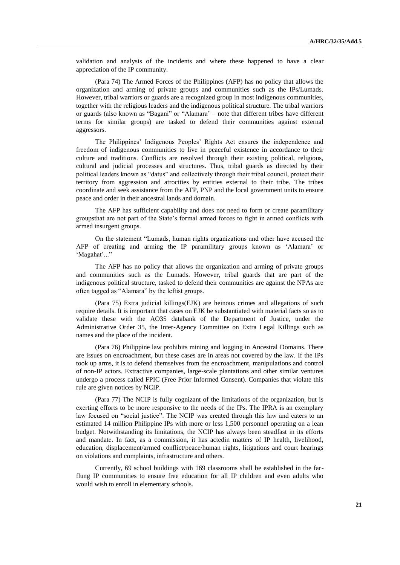validation and analysis of the incidents and where these happened to have a clear appreciation of the IP community.

(Para 74) The Armed Forces of the Philippines (AFP) has no policy that allows the organization and arming of private groups and communities such as the IPs/Lumads. However, tribal warriors or guards are a recognized group in most indigenous communities, together with the religious leaders and the indigenous political structure. The tribal warriors or guards (also known as "Bagani" or "Alamara' – note that different tribes have different terms for similar groups) are tasked to defend their communities against external aggressors.

The Philippines' Indigenous Peoples' Rights Act ensures the independence and freedom of indigenous communities to live in peaceful existence in accordance to their culture and traditions. Conflicts are resolved through their existing political, religious, cultural and judicial processes and structures. Thus, tribal guards as directed by their political leaders known as "datus" and collectively through their tribal council, protect their territory from aggression and atrocities by entities external to their tribe. The tribes coordinate and seek assistance from the AFP, PNP and the local government units to ensure peace and order in their ancestral lands and domain.

The AFP has sufficient capability and does not need to form or create paramilitary groupsthat are not part of the State's formal armed forces to fight in armed conflicts with armed insurgent groups.

On the statement "Lumads, human rights organizations and other have accused the AFP of creating and arming the IP paramilitary groups known as 'Alamara' or 'Magahat'..."

The AFP has no policy that allows the organization and arming of private groups and communities such as the Lumads. However, tribal guards that are part of the indigenous political structure, tasked to defend their communities are against the NPAs are often tagged as "Alamara" by the leftist groups.

(Para 75) Extra judicial killings(EJK) are heinous crimes and allegations of such require details. It is important that cases on EJK be substantiated with material facts so as to validate these with the AO35 databank of the Department of Justice, under the Administrative Order 35, the Inter-Agency Committee on Extra Legal Killings such as names and the place of the incident.

(Para 76) Philippine law prohibits mining and logging in Ancestral Domains. There are issues on encroachment, but these cases are in areas not covered by the law. If the IPs took up arms, it is to defend themselves from the encroachment, manipulations and control of non-IP actors. Extractive companies, large-scale plantations and other similar ventures undergo a process called FPIC (Free Prior Informed Consent). Companies that violate this rule are given notices by NCIP.

(Para 77) The NCIP is fully cognizant of the limitations of the organization, but is exerting efforts to be more responsive to the needs of the IPs. The IPRA is an exemplary law focused on "social justice". The NCIP was created through this law and caters to an estimated 14 million Philippine IPs with more or less 1,500 personnel operating on a lean budget. Notwithstanding its limitations, the NCIP has always been steadfast in its efforts and mandate. In fact, as a commission, it has actedin matters of IP health, livelihood, education, displacement/armed conflict/peace/human rights, litigations and court hearings on violations and complaints, infrastructure and others.

Currently, 69 school buildings with 169 classrooms shall be established in the farflung IP communities to ensure free education for all IP children and even adults who would wish to enroll in elementary schools.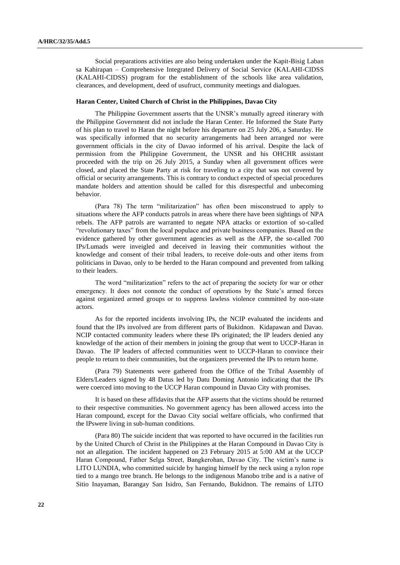Social preparations activities are also being undertaken under the Kapit-Bisig Laban sa Kahirapan – Comprehensive Integrated Delivery of Social Service (KALAHI-CIDSS (KALAHI-CIDSS) program for the establishment of the schools like area validation, clearances, and development, deed of usufruct, community meetings and dialogues.

#### **Haran Center, United Church of Christ in the Philippines, Davao City**

The Philippine Government asserts that the UNSR's mutually agreed itinerary with the Philippine Government did not include the Haran Center. He Informed the State Party of his plan to travel to Haran the night before his departure on 25 July 206, a Saturday. He was specifically informed that no security arrangements had been arranged nor were government officials in the city of Davao informed of his arrival. Despite the lack of permission from the Philippine Government, the UNSR and his OHCHR assistant proceeded with the trip on 26 July 2015, a Sunday when all government offices were closed, and placed the State Party at risk for traveling to a city that was not covered by official or security arrangements. This is contrary to conduct expected of special procedures mandate holders and attention should be called for this disrespectful and unbecoming behavior.

(Para 78) The term "militarization" has often been misconstrued to apply to situations where the AFP conducts patrols in areas where there have been sightings of NPA rebels. The AFP patrols are warranted to negate NPA attacks or extortion of so-called "revolutionary taxes" from the local populace and private business companies. Based on the evidence gathered by other government agencies as well as the AFP, the so-called 700 IPs/Lumads were inveigled and deceived in leaving their communities without the knowledge and consent of their tribal leaders, to receive dole-outs and other items from politicians in Davao, only to be herded to the Haran compound and prevented from talking to their leaders.

The word "militarization" refers to the act of preparing the society for war or other emergency. It does not connote the conduct of operations by the State's armed forces against organized armed groups or to suppress lawless violence committed by non-state actors.

As for the reported incidents involving IPs, the NCIP evaluated the incidents and found that the IPs involved are from different parts of Bukidnon. Kidapawan and Davao. NCIP contacted community leaders where these IPs originated; the IP leaders denied any knowledge of the action of their members in joining the group that went to UCCP-Haran in Davao. The IP leaders of affected communities went to UCCP-Haran to convince their people to return to their communities, but the organizers prevented the IPs to return home.

(Para 79) Statements were gathered from the Office of the Tribal Assembly of Elders/Leaders signed by 48 Datus led by Datu Doming Antonio indicating that the IPs were coerced into moving to the UCCP Haran compound in Davao City with promises.

It is based on these affidavits that the AFP asserts that the victims should be returned to their respective communities. No government agency has been allowed access into the Haran compound, except for the Davao City social welfare officials, who confirmed that the IPswere living in sub-human conditions.

(Para 80) The suicide incident that was reported to have occurred in the facilities run by the United Church of Christ in the Philippines at the Haran Compound in Davao City is not an allegation. The incident happened on 23 February 2015 at 5:00 AM at the UCCP Haran Compound, Father Selga Street, Bangkerohan, Davao City. The victim's name is LITO LUNDIA, who committed suicide by hanging himself by the neck using a nylon rope tied to a mango tree branch. He belongs to the indigenous Manobo tribe and is a native of Sitio Inayaman, Barangay San Isidro, San Fernando, Bukidnon. The remains of LITO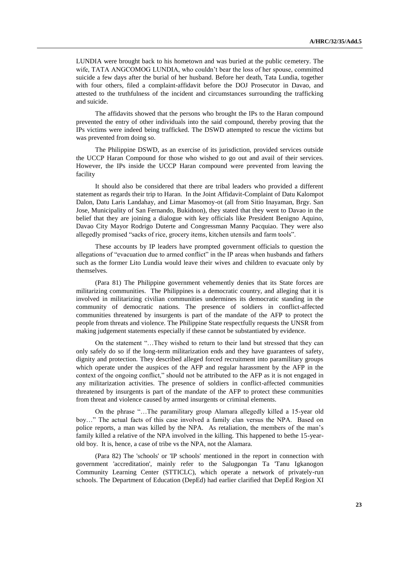LUNDIA were brought back to his hometown and was buried at the public cemetery. The wife, TATA ANGCOMOG LUNDIA, who couldn't bear the loss of her spouse, committed suicide a few days after the burial of her husband. Before her death, Tata Lundia, together with four others, filed a complaint-affidavit before the DOJ Prosecutor in Davao, and attested to the truthfulness of the incident and circumstances surrounding the trafficking and suicide.

The affidavits showed that the persons who brought the IPs to the Haran compound prevented the entry of other individuals into the said compound, thereby proving that the IPs victims were indeed being trafficked. The DSWD attempted to rescue the victims but was prevented from doing so.

The Philippine DSWD, as an exercise of its jurisdiction, provided services outside the UCCP Haran Compound for those who wished to go out and avail of their services. However, the IPs inside the UCCP Haran compound were prevented from leaving the facility

It should also be considered that there are tribal leaders who provided a different statement as regards their trip to Haran. In the Joint Affidavit-Complaint of Datu Kalompot Dalon, Datu Laris Landahay, and Limar Masomoy-ot (all from Sitio Inayaman, Brgy. San Jose, Municipality of San Fernando, Bukidnon), they stated that they went to Davao in the belief that they are joining a dialogue with key officials like President Benigno Aquino, Davao City Mayor Rodrigo Duterte and Congressman Manny Pacquiao. They were also allegedly promised "sacks of rice, grocery items, kitchen utensils and farm tools".

These accounts by IP leaders have prompted government officials to question the allegations of "evacuation due to armed conflict" in the IP areas when husbands and fathers such as the former Lito Lundia would leave their wives and children to evacuate only by themselves.

(Para 81) The Philippine government vehemently denies that its State forces are militarizing communities. The Philippines is a democratic country, and alleging that it is involved in militarizing civilian communities undermines its democratic standing in the community of democratic nations. The presence of soldiers in conflict-affected communities threatened by insurgents is part of the mandate of the AFP to protect the people from threats and violence. The Philippine State respectfully requests the UNSR from making judgement statements especially if these cannot be substantiated by evidence.

On the statement "…They wished to return to their land but stressed that they can only safely do so if the long-term militarization ends and they have guarantees of safety, dignity and protection. They described alleged forced recruitment into paramilitary groups which operate under the auspices of the AFP and regular harassment by the AFP in the context of the ongoing conflict," should not be attributed to the AFP as it is not engaged in any militarization activities. The presence of soldiers in conflict-affected communities threatened by insurgents is part of the mandate of the AFP to protect these communities from threat and violence caused by armed insurgents or criminal elements.

On the phrase "…The paramilitary group Alamara allegedly killed a 15-year old boy…" The actual facts of this case involved a family clan versus the NPA. Based on police reports, a man was killed by the NPA. As retaliation, the members of the man's family killed a relative of the NPA involved in the killing. This happened to bethe 15-yearold boy. It is, hence, a case of tribe vs the NPA, not the Alamara.

(Para 82) The 'schools' or 'IP schools' mentioned in the report in connection with government 'accreditation', mainly refer to the Salugpongan Ta 'Tanu Igkanogon Community Learning Center (STTICLC), which operate a network of privately-run schools. The Department of Education (DepEd) had earlier clarified that DepEd Region XI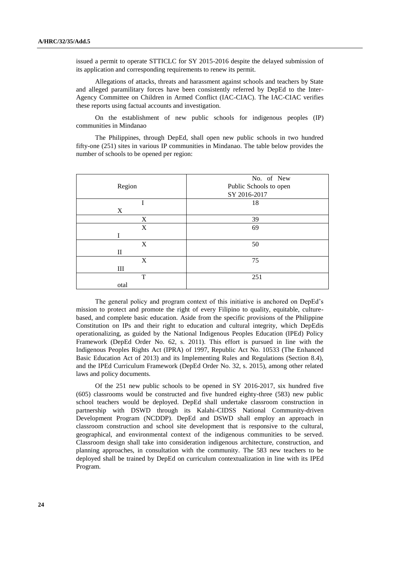issued a permit to operate STTICLC for SY 2015-2016 despite the delayed submission of its application and corresponding requirements to renew its permit.

Allegations of attacks, threats and harassment against schools and teachers by State and alleged paramilitary forces have been consistently referred by DepEd to the Inter-Agency Committee on Children in Armed Conflict (IAC-CIAC). The IAC-CIAC verifies these reports using factual accounts and investigation.

On the establishment of new public schools for indigenous peoples (IP) communities in Mindanao

The Philippines, through DepEd, shall open new public schools in two hundred fifty-one (251) sites in various IP communities in Mindanao. The table below provides the number of schools to be opened per region:

|             | No. of New             |
|-------------|------------------------|
| Region      | Public Schools to open |
|             | SY 2016-2017           |
|             | 18                     |
| X           |                        |
| X           | 39                     |
| X           | 69                     |
| Ī           |                        |
| X           | 50                     |
| $_{\rm II}$ |                        |
| X           | 75                     |
| III         |                        |
| T           | 251                    |
| otal        |                        |

The general policy and program context of this initiative is anchored on DepEd's mission to protect and promote the right of every Filipino to quality, equitable, culturebased, and complete basic education. Aside from the specific provisions of the Philippine Constitution on IPs and their right to education and cultural integrity, which DepEdis operationalizing, as guided by the National Indigenous Peoples Education (IPEd) Policy Framework (DepEd Order No. 62, s. 2011). This effort is pursued in line with the Indigenous Peoples Rights Act (IPRA) of 1997, Republic Act No. 10533 (The Enhanced Basic Education Act of 2013) and its Implementing Rules and Regulations (Section 8.4), and the IPEd Curriculum Framework (DepEd Order No. 32, s. 2015), among other related laws and policy documents.

Of the 251 new public schools to be opened in SY 2016-2017, six hundred five (605) classrooms would be constructed and five hundred eighty-three (583) new public school teachers would be deployed. DepEd shall undertake classroom construction in partnership with DSWD through its Kalahi-CIDSS National Community-driven Development Program (NCDDP). DepEd and DSWD shall employ an approach in classroom construction and school site development that is responsive to the cultural, geographical, and environmental context of the indigenous communities to be served. Classroom design shall take into consideration indigenous architecture, construction, and planning approaches, in consultation with the community. The 583 new teachers to be deployed shall be trained by DepEd on curriculum contextualization in line with its IPEd Program.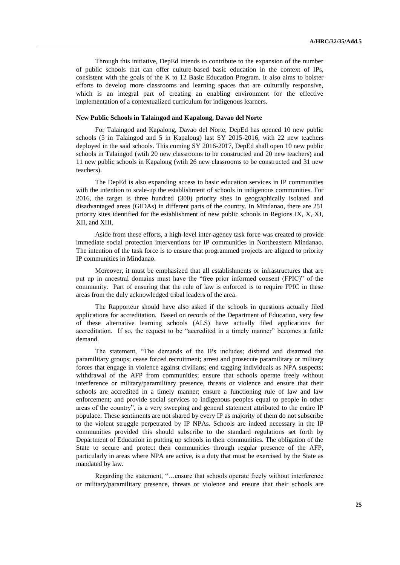Through this initiative, DepEd intends to contribute to the expansion of the number of public schools that can offer culture-based basic education in the context of IPs, consistent with the goals of the K to 12 Basic Education Program. It also aims to bolster efforts to develop more classrooms and learning spaces that are culturally responsive, which is an integral part of creating an enabling environment for the effective implementation of a contextualized curriculum for indigenous learners.

#### **New Public Schools in Talaingod and Kapalong, Davao del Norte**

For Talaingod and Kapalong, Davao del Norte, DepEd has opened 10 new public schools (5 in Talaingod and 5 in Kapalong) last SY 2015-2016, with 22 new teachers deployed in the said schools. This coming SY 2016-2017, DepEd shall open 10 new public schools in Talaingod (wtih 20 new classrooms to be constructed and 20 new teachers) and 11 new public schools in Kapalong (wtih 26 new classrooms to be constructed and 31 new teachers).

The DepEd is also expanding access to basic education services in IP communities with the intention to scale-up the establishment of schools in indigenous communities. For 2016, the target is three hundred (300) priority sites in geographically isolated and disadvantaged areas (GIDAs) in different parts of the country. In Mindanao, there are 251 priority sites identified for the establishment of new public schools in Regions IX, X, XI, XII, and XIII.

Aside from these efforts, a high-level inter-agency task force was created to provide immediate social protection interventions for IP communities in Northeastern Mindanao. The intention of the task force is to ensure that programmed projects are aligned to priority IP communities in Mindanao.

Moreover, it must be emphasized that all establishments or infrastructures that are put up in ancestral domains must have the "free prior informed consent (FPIC)" of the community. Part of ensuring that the rule of law is enforced is to require FPIC in these areas from the duly acknowledged tribal leaders of the area.

The Rapporteur should have also asked if the schools in questions actually filed applications for accreditation. Based on records of the Department of Education, very few of these alternative learning schools (ALS) have actually filed applications for accreditation. If so, the request to be "accredited in a timely manner" becomes a futile demand.

The statement, "The demands of the IPs includes; disband and disarmed the paramilitary groups; cease forced recruitment; arrest and prosecute paramilitary or military forces that engage in violence against civilians; end tagging individuals as NPA suspects; withdrawal of the AFP from communities; ensure that schools operate freely without interference or military/paramilitary presence, threats or violence and ensure that their schools are accredited in a timely manner; ensure a functioning rule of law and law enforcement; and provide social services to indigenous peoples equal to people in other areas of the country", is a very sweeping and general statement attributed to the entire IP populace. These sentiments are not shared by every IP as majority of them do not subscribe to the violent struggle perpetrated by IP NPAs. Schools are indeed necessary in the IP communities provided this should subscribe to the standard regulations set forth by Department of Education in putting up schools in their communities. The obligation of the State to secure and protect their communities through regular presence of the AFP, particularly in areas where NPA are active, is a duty that must be exercised by the State as mandated by law.

Regarding the statement, "…ensure that schools operate freely without interference or military/paramilitary presence, threats or violence and ensure that their schools are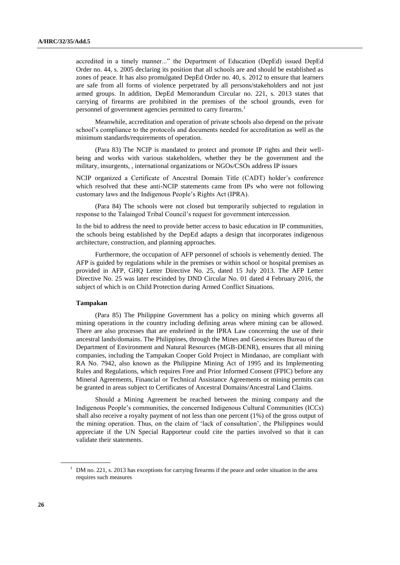accredited in a timely manner..." the Department of Education (DepEd) issued DepEd Order no. 44, s. 2005 declaring its position that all schools are and should be established as zones of peace. It has also promulgated DepEd Order no. 40, s. 2012 to ensure that learners are safe from all forms of violence perpetrated by all persons/stakeholders and not just armed groups. In addition, DepEd Memorandum Circular no. 221, s. 2013 states that carrying of firearms are prohibited in the premises of the school grounds, even for personnel of government agencies permitted to carry firearms.<sup>1</sup>

Meanwhile, accreditation and operation of private schools also depend on the private school's compliance to the protocols and documents needed for accreditation as well as the minimum standards/requirements of operation.

(Para 83) The NCIP is mandated to protect and promote IP rights and their wellbeing and works with various stakeholders, whether they be the government and the military, insurgents, , international organizations or NGOs/CSOs address IP issues

NCIP organized a Certificate of Ancestral Domain Title (CADT) holder's conference which resolved that these anti-NCIP statements came from IPs who were not following customary laws and the Indigenous People's Rights Act (IPRA).

(Para 84) The schools were not closed but temporarily subjected to regulation in response to the Talaingod Tribal Council's request for government intercession.

In the bid to address the need to provide better access to basic education in IP communities, the schools being established by the DepEd adapts a design that incorporates indigenous architecture, construction, and planning approaches.

Furthermore, the occupation of AFP personnel of schools is vehemently denied. The AFP is guided by regulations while in the premises or within school or hospital premises as provided in AFP, GHQ Letter Directive No. 25, dated 15 July 2013. The AFP Letter Directive No. 25 was later rescinded by DND Circular No. 01 dated 4 February 2016, the subject of which is on Child Protection during Armed Conflict Situations.

#### **Tampakan**

(Para 85) The Philippine Government has a policy on mining which governs all mining operations in the country including defining areas where mining can be allowed. There are also processes that are enshrined in the IPRA Law concerning the use of their ancestral lands/domains. The Philippines, through the Mines and Geosciences Bureau of the Department of Environment and Natural Resources (MGB-DENR), ensures that all mining companies, including the Tampakan Cooper Gold Project in Mindanao, are compliant with RA No. 7942, also known as the Philippine Mining Act of 1995 and its Implementing Rules and Regulations, which requires Free and Prior Informed Consent (FPIC) before any Mineral Agreements, Financial or Technical Assistance Agreements or mining permits can be granted in areas subject to Certificates of Ancestral Domains/Ancestral Land Claims.

Should a Mining Agreement be reached between the mining company and the Indigenous People's communities, the concerned Indigenous Cultural Communities (ICCs) shall also receive a royalty payment of not less than one percent (1%) of the gross output of the mining operation. Thus, on the claim of 'lack of consultation', the Philippines would appreciate if the UN Special Rapporteur could cite the parties involved so that it can validate their statements.

<sup>&</sup>lt;sup>1</sup> DM no. 221, s. 2013 has exceptions for carrying firearms if the peace and order situation in the area requires such measures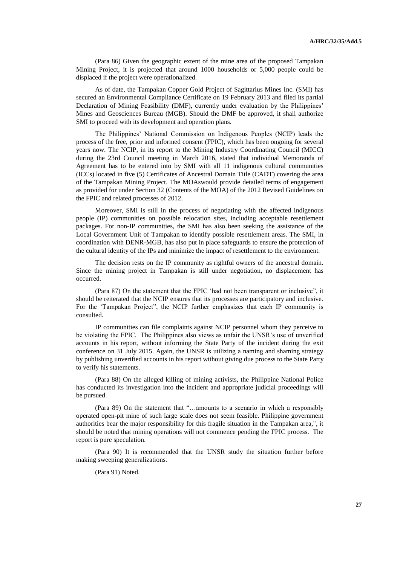(Para 86) Given the geographic extent of the mine area of the proposed Tampakan Mining Project, it is projected that around 1000 households or 5,000 people could be displaced if the project were operationalized.

As of date, the Tampakan Copper Gold Project of Sagittarius Mines Inc. (SMI) has secured an Environmental Compliance Certificate on 19 February 2013 and filed its partial Declaration of Mining Feasibility (DMF), currently under evaluation by the Philippines' Mines and Geosciences Bureau (MGB). Should the DMF be approved, it shall authorize SMI to proceed with its development and operation plans.

The Philippines' National Commission on Indigenous Peoples (NCIP) leads the process of the free, prior and informed consent (FPIC), which has been ongoing for several years now. The NCIP, in its report to the Mining Industry Coordinating Council (MICC) during the 23rd Council meeting in March 2016, stated that individual Memoranda of Agreement has to be entered into by SMI with all 11 indigenous cultural communities (ICCs) located in five (5) Certificates of Ancestral Domain Title (CADT) covering the area of the Tampakan Mining Project. The MOAswould provide detailed terms of engagement as provided for under Section 32 (Contents of the MOA) of the 2012 Revised Guidelines on the FPIC and related processes of 2012.

Moreover, SMI is still in the process of negotiating with the affected indigenous people (IP) communities on possible relocation sites, including acceptable resettlement packages. For non-IP communities, the SMI has also been seeking the assistance of the Local Government Unit of Tampakan to identify possible resettlement areas. The SMI, in coordination with DENR-MGB, has also put in place safeguards to ensure the protection of the cultural identity of the IPs and minimize the impact of resettlement to the environment.

The decision rests on the IP community as rightful owners of the ancestral domain. Since the mining project in Tampakan is still under negotiation, no displacement has occurred.

(Para 87) On the statement that the FPIC 'had not been transparent or inclusive", it should be reiterated that the NCIP ensures that its processes are participatory and inclusive. For the 'Tampakan Project", the NCIP further emphasizes that each IP community is consulted.

IP communities can file complaints against NCIP personnel whom they perceive to be violating the FPIC. The Philippines also views as unfair the UNSR's use of unverified accounts in his report, without informing the State Party of the incident during the exit conference on 31 July 2015. Again, the UNSR is utilizing a naming and shaming strategy by publishing unverified accounts in his report without giving due process to the State Party to verify his statements.

(Para 88) On the alleged killing of mining activists, the Philippine National Police has conducted its investigation into the incident and appropriate judicial proceedings will be pursued.

(Para 89) On the statement that "…amounts to a scenario in which a responsibly operated open-pit mine of such large scale does not seem feasible. Philippine government authorities bear the major responsibility for this fragile situation in the Tampakan area,", it should be noted that mining operations will not commence pending the FPIC process. The report is pure speculation.

(Para 90) It is recommended that the UNSR study the situation further before making sweeping generalizations.

(Para 91) Noted.